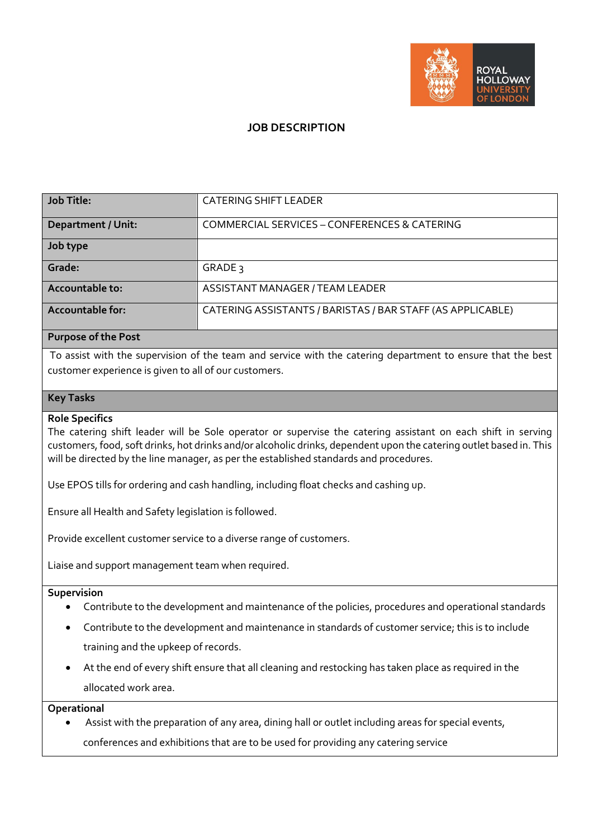

## **JOB DESCRIPTION**

| <b>Job Title:</b>         | <b>CATERING SHIFT LEADER</b>                               |
|---------------------------|------------------------------------------------------------|
| <b>Department / Unit:</b> | COMMERCIAL SERVICES - CONFERENCES & CATERING               |
| Job type                  |                                                            |
| Grade:                    | GRADE 3                                                    |
| Accountable to:           | ASSISTANT MANAGER / TEAM LEADER                            |
| <b>Accountable for:</b>   | CATERING ASSISTANTS / BARISTAS / BAR STAFF (AS APPLICABLE) |

### **Purpose of the Post**

To assist with the supervision of the team and service with the catering department to ensure that the best customer experience is given to all of our customers.

### **Key Tasks**

#### **Role Specifics**

The catering shift leader will be Sole operator or supervise the catering assistant on each shift in serving customers, food, soft drinks, hot drinks and/or alcoholic drinks, dependent upon the catering outlet based in. This will be directed by the line manager, as per the established standards and procedures.

Use EPOS tills for ordering and cash handling, including float checks and cashing up.

Ensure all Health and Safety legislation is followed.

Provide excellent customer service to a diverse range of customers.

Liaise and support management team when required.

### **Supervision**

- Contribute to the development and maintenance of the policies, procedures and operational standards
- Contribute to the development and maintenance in standards of customer service; this is to include training and the upkeep of records.
- At the end of every shift ensure that all cleaning and restocking has taken place as required in the allocated work area.

**Operational**

• Assist with the preparation of any area, dining hall or outlet including areas for special events, conferences and exhibitions that are to be used for providing any catering service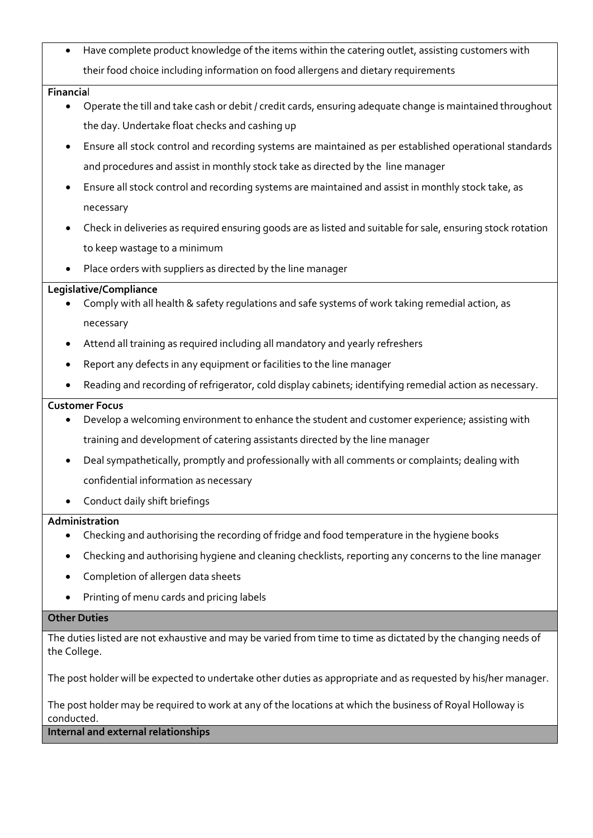• Have complete product knowledge of the items within the catering outlet, assisting customers with their food choice including information on food allergens and dietary requirements

### **Financia**l

- Operate the till and take cash or debit / credit cards, ensuring adequate change is maintained throughout the day. Undertake float checks and cashing up
- Ensure all stock control and recording systems are maintained as per established operational standards and procedures and assist in monthly stock take as directed by the line manager
- Ensure all stock control and recording systems are maintained and assist in monthly stock take, as necessary
- Check in deliveries as required ensuring goods are as listed and suitable for sale, ensuring stock rotation to keep wastage to a minimum
- Place orders with suppliers as directed by the line manager

### **Legislative/Compliance**

- Comply with all health & safety regulations and safe systems of work taking remedial action, as necessary
- Attend all training as required including all mandatory and yearly refreshers
- Report any defects in any equipment or facilities to the line manager
- Reading and recording of refrigerator, cold display cabinets; identifying remedial action as necessary.

### **Customer Focus**

- Develop a welcoming environment to enhance the student and customer experience; assisting with training and development of catering assistants directed by the line manager
- Deal sympathetically, promptly and professionally with all comments or complaints; dealing with confidential information as necessary
- Conduct daily shift briefings

# **Administration**

- Checking and authorising the recording of fridge and food temperature in the hygiene books
- Checking and authorising hygiene and cleaning checklists, reporting any concerns to the line manager
- Completion of allergen data sheets
- Printing of menu cards and pricing labels

# **Other Duties**

The duties listed are not exhaustive and may be varied from time to time as dictated by the changing needs of the College.

The post holder will be expected to undertake other duties as appropriate and as requested by his/her manager.

The post holder may be required to work at any of the locations at which the business of Royal Holloway is conducted.

**Internal and external relationships**